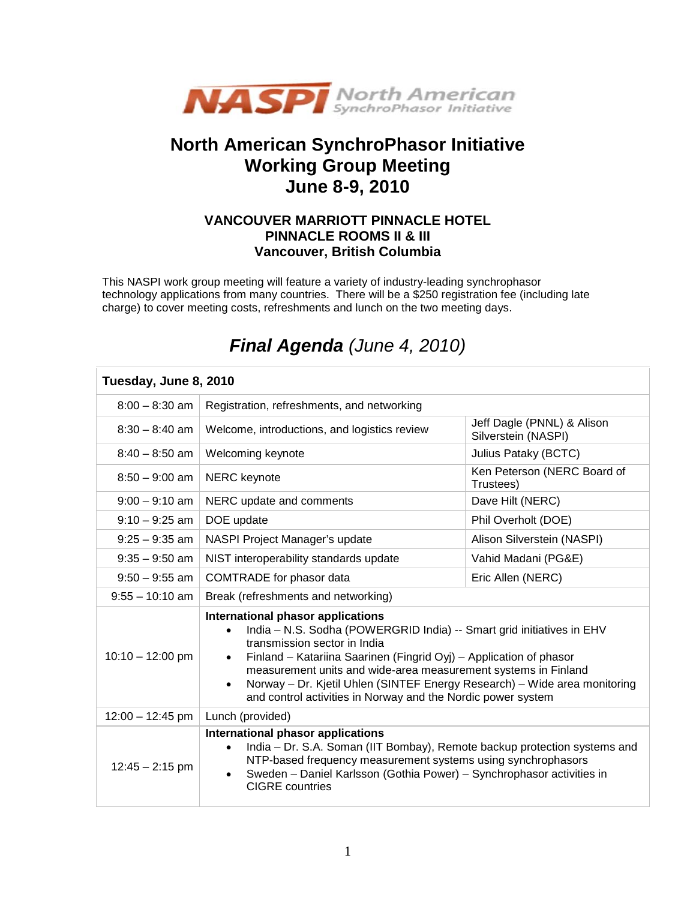

## **North American SynchroPhasor Initiative Working Group Meeting June 8-9, 2010**

## **VANCOUVER MARRIOTT PINNACLE HOTEL PINNACLE ROOMS II & III Vancouver, British Columbia**

This NASPI work group meeting will feature a variety of industry-leading synchrophasor technology applications from many countries. There will be a \$250 registration fee (including late charge) to cover meeting costs, refreshments and lunch on the two meeting days.

| Tuesday, June 8, 2010 |                                                                                                                                                                                                                                                                                                                                                                                                                                                                        |                                                   |  |  |
|-----------------------|------------------------------------------------------------------------------------------------------------------------------------------------------------------------------------------------------------------------------------------------------------------------------------------------------------------------------------------------------------------------------------------------------------------------------------------------------------------------|---------------------------------------------------|--|--|
| $8:00 - 8:30$ am      | Registration, refreshments, and networking                                                                                                                                                                                                                                                                                                                                                                                                                             |                                                   |  |  |
| $8:30 - 8:40$ am      | Welcome, introductions, and logistics review                                                                                                                                                                                                                                                                                                                                                                                                                           | Jeff Dagle (PNNL) & Alison<br>Silverstein (NASPI) |  |  |
| $8:40 - 8:50$ am      | Welcoming keynote                                                                                                                                                                                                                                                                                                                                                                                                                                                      | Julius Pataky (BCTC)                              |  |  |
| $8:50 - 9:00$ am      | <b>NERC</b> keynote                                                                                                                                                                                                                                                                                                                                                                                                                                                    | Ken Peterson (NERC Board of<br>Trustees)          |  |  |
| $9:00 - 9:10$ am      | NERC update and comments                                                                                                                                                                                                                                                                                                                                                                                                                                               | Dave Hilt (NERC)                                  |  |  |
| $9:10 - 9:25$ am      | DOE update                                                                                                                                                                                                                                                                                                                                                                                                                                                             | Phil Overholt (DOE)                               |  |  |
| $9:25 - 9:35$ am      | NASPI Project Manager's update                                                                                                                                                                                                                                                                                                                                                                                                                                         | Alison Silverstein (NASPI)                        |  |  |
| $9:35 - 9:50$ am      | NIST interoperability standards update                                                                                                                                                                                                                                                                                                                                                                                                                                 | Vahid Madani (PG&E)                               |  |  |
| $9:50 - 9:55$ am      | COMTRADE for phasor data                                                                                                                                                                                                                                                                                                                                                                                                                                               | Eric Allen (NERC)                                 |  |  |
| $9:55 - 10:10$ am     | Break (refreshments and networking)                                                                                                                                                                                                                                                                                                                                                                                                                                    |                                                   |  |  |
| $10:10 - 12:00$ pm    | International phasor applications<br>India - N.S. Sodha (POWERGRID India) -- Smart grid initiatives in EHV<br>$\bullet$<br>transmission sector in India<br>Finland - Katariina Saarinen (Fingrid Oyj) - Application of phasor<br>$\bullet$<br>measurement units and wide-area measurement systems in Finland<br>Norway - Dr. Kjetil Uhlen (SINTEF Energy Research) - Wide area monitoring<br>$\bullet$<br>and control activities in Norway and the Nordic power system |                                                   |  |  |
| $12:00 - 12:45$ pm    | Lunch (provided)                                                                                                                                                                                                                                                                                                                                                                                                                                                       |                                                   |  |  |
| $12:45 - 2:15$ pm     | International phasor applications<br>India – Dr. S.A. Soman (IIT Bombay), Remote backup protection systems and<br>$\bullet$<br>NTP-based frequency measurement systems using synchrophasors<br>Sweden - Daniel Karlsson (Gothia Power) - Synchrophasor activities in<br><b>CIGRE</b> countries                                                                                                                                                                         |                                                   |  |  |

## *Final Agenda (June 4, 2010)*